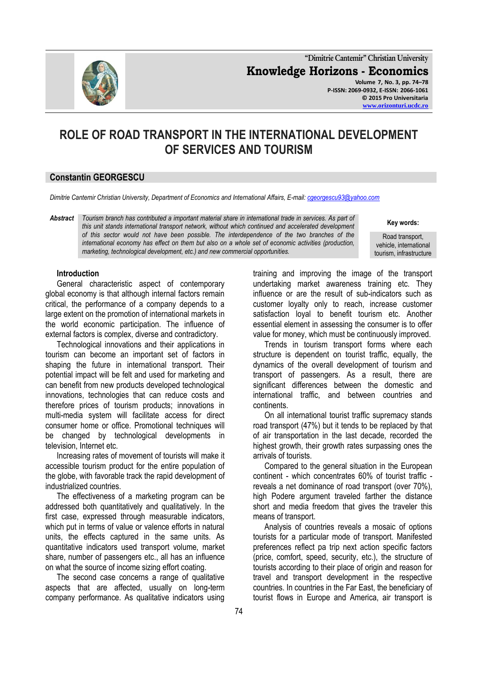

**"Dimitrie Cantemir" Christian University Knowledge Horizons - Economics Volume 7, No. 3, pp. 74–78 P-ISSN: 2069-0932, E-ISSN: 2066-1061 © 2015 Pro Universitaria**

**[www.orizonturi.ucdc.ro](http://www.orizonturi.ucdc.ro/)**

# **ROLE OF ROAD TRANSPORT IN THE INTERNATIONAL DEVELOPMENT OF SERVICES AND TOURISM**

## **Constantin GEORGESCU**

*Dimitrie Cantemir Christian University, Department of Economics and International Affairs, E-mail: [cgeorgescu93@yahoo.com](mailto:cgeorgescu93@yahoo.com)*

*Abstract Tourism branch has contributed a important material share in international trade in services. As part of this unit stands international transport network, without which continued and accelerated development of this sector would not have been possible. The interdependence of the two branches of the international economy has effect on them but also on a whole set of economic activities (production, marketing, technological development, etc.) and new commercial opportunities.*

**Key words:**

Road transport, vehicle, international tourism, infrastructure

#### **Introduction**

General characteristic aspect of contemporary global economy is that although internal factors remain critical, the performance of a company depends to a large extent on the promotion of international markets in the world economic participation. The influence of external factors is complex, diverse and contradictory.

Technological innovations and their applications in tourism can become an important set of factors in shaping the future in international transport. Their potential impact will be felt and used for marketing and can benefit from new products developed technological innovations, technologies that can reduce costs and therefore prices of tourism products; innovations in multi-media system will facilitate access for direct consumer home or office. Promotional techniques will be changed by technological developments in television, Internet etc.

Increasing rates of movement of tourists will make it accessible tourism product for the entire population of the globe, with favorable track the rapid development of industrialized countries.

The effectiveness of a marketing program can be addressed both quantitatively and qualitatively. In the first case, expressed through measurable indicators, which put in terms of value or valence efforts in natural units, the effects captured in the same units. As quantitative indicators used transport volume, market share, number of passengers etc., all has an influence on what the source of income sizing effort coating.

The second case concerns a range of qualitative aspects that are affected, usually on long-term company performance. As qualitative indicators using

training and improving the image of the transport undertaking market awareness training etc. They influence or are the result of sub-indicators such as customer loyalty only to reach, increase customer satisfaction loyal to benefit tourism etc. Another essential element in assessing the consumer is to offer value for money, which must be continuously improved.

Trends in tourism transport forms where each structure is dependent on tourist traffic, equally, the dynamics of the overall development of tourism and transport of passengers. As a result, there are significant differences between the domestic and international traffic, and between countries and continents.

On all international tourist traffic supremacy stands road transport (47%) but it tends to be replaced by that of air transportation in the last decade, recorded the highest growth, their growth rates surpassing ones the arrivals of tourists.

Compared to the general situation in the European continent - which concentrates 60% of tourist traffic reveals a net dominance of road transport (over 70%), high Podere argument traveled farther the distance short and media freedom that gives the traveler this means of transport.

Analysis of countries reveals a mosaic of options tourists for a particular mode of transport. Manifested preferences reflect pa trip next action specific factors (price, comfort, speed, security, etc.), the structure of tourists according to their place of origin and reason for travel and transport development in the respective countries. In countries in the Far East, the beneficiary of tourist flows in Europe and America, air transport is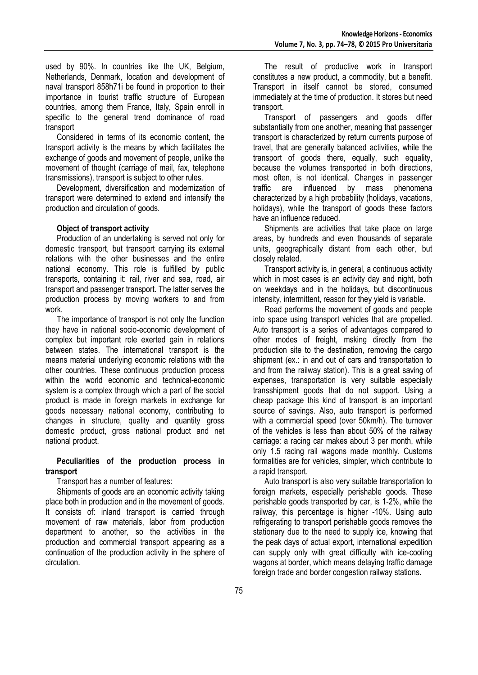used by 90%. In countries like the UK, Belgium, Netherlands, Denmark, location and development of naval transport 858h71i be found in proportion to their importance in tourist traffic structure of European countries, among them France, Italy, Spain enroll in specific to the general trend dominance of road transport

Considered in terms of its economic content, the transport activity is the means by which facilitates the exchange of goods and movement of people, unlike the movement of thought (carriage of mail, fax, telephone transmissions), transport is subject to other rules.

Development, diversification and modernization of transport were determined to extend and intensify the production and circulation of goods.

### **Object of transport activity**

Production of an undertaking is served not only for domestic transport, but transport carrying its external relations with the other businesses and the entire national economy. This role is fulfilled by public transports, containing it: rail, river and sea, road, air transport and passenger transport. The latter serves the production process by moving workers to and from work.

The importance of transport is not only the function they have in national socio-economic development of complex but important role exerted gain in relations between states. The international transport is the means material underlying economic relations with the other countries. These continuous production process within the world economic and technical-economic system is a complex through which a part of the social product is made in foreign markets in exchange for goods necessary national economy, contributing to changes in structure, quality and quantity gross domestic product, gross national product and net national product.

### **Peculiarities of the production process in transport**

Transport has a number of features:

Shipments of goods are an economic activity taking place both in production and in the movement of goods. It consists of: inland transport is carried through movement of raw materials, labor from production department to another, so the activities in the production and commercial transport appearing as a continuation of the production activity in the sphere of circulation.

The result of productive work in transport constitutes a new product, a commodity, but a benefit. Transport in itself cannot be stored, consumed immediately at the time of production. It stores but need transport.

Transport of passengers and goods differ substantially from one another, meaning that passenger transport is characterized by return currents purpose of travel, that are generally balanced activities, while the transport of goods there, equally, such equality, because the volumes transported in both directions, most often, is not identical. Changes in passenger traffic are influenced by mass phenomena characterized by a high probability (holidays, vacations, holidays), while the transport of goods these factors have an influence reduced.

Shipments are activities that take place on large areas, by hundreds and even thousands of separate units, geographically distant from each other, but closely related.

Transport activity is, in general, a continuous activity which in most cases is an activity day and night, both on weekdays and in the holidays, but discontinuous intensity, intermittent, reason for they yield is variable.

Road performs the movement of goods and people into space using transport vehicles that are propelled. Auto transport is a series of advantages compared to other modes of freight, msking directly from the production site to the destination, removing the cargo shipment (ex.: in and out of cars and transportation to and from the railway station). This is a great saving of expenses, transportation is very suitable especially transshipment goods that do not support. Using a cheap package this kind of transport is an important source of savings. Also, auto transport is performed with a commercial speed (over 50km/h). The turnover of the vehicles is less than about 50% of the railway carriage: a racing car makes about 3 per month, while only 1.5 racing rail wagons made monthly. Customs formalities are for vehicles, simpler, which contribute to a rapid transport.

Auto transport is also very suitable transportation to foreign markets, especially perishable goods. These perishable goods transported by car, is 1-2%, while the railway, this percentage is higher -10%. Using auto refrigerating to transport perishable goods removes the stationary due to the need to supply ice, knowing that the peak days of actual export, international expedition can supply only with great difficulty with ice-cooling wagons at border, which means delaying traffic damage foreign trade and border congestion railway stations.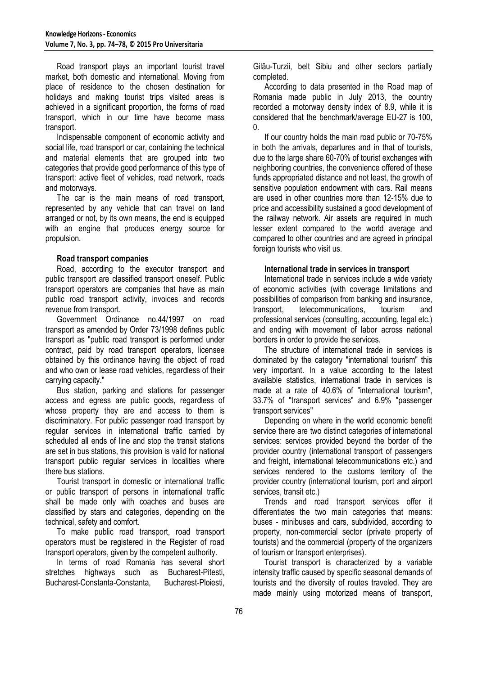Road transport plays an important tourist travel market, both domestic and international. Moving from place of residence to the chosen destination for holidays and making tourist trips visited areas is achieved in a significant proportion, the forms of road transport, which in our time have become mass transport.

Indispensable component of economic activity and social life, road transport or car, containing the technical and material elements that are grouped into two categories that provide good performance of this type of transport: active fleet of vehicles, road network, roads and motorways.

The car is the main means of road transport, represented by any vehicle that can travel on land arranged or not, by its own means, the end is equipped with an engine that produces energy source for propulsion.

### **Road transport companies**

Road, according to the executor transport and public transport are classified transport oneself. Public transport operators are companies that have as main public road transport activity, invoices and records revenue from transport.

Government Ordinance no.44/1997 on road transport as amended by Order 73/1998 defines public transport as "public road transport is performed under contract, paid by road transport operators, licensee obtained by this ordinance having the object of road and who own or lease road vehicles, regardless of their carrying capacity."

Bus station, parking and stations for passenger access and egress are public goods, regardless of whose property they are and access to them is discriminatory. For public passenger road transport by regular services in international traffic carried by scheduled all ends of line and stop the transit stations are set in bus stations, this provision is valid for national transport public regular services in localities where there bus stations.

Tourist transport in domestic or international traffic or public transport of persons in international traffic shall be made only with coaches and buses are classified by stars and categories, depending on the technical, safety and comfort.

To make public road transport, road transport operators must be registered in the Register of road transport operators, given by the competent authority.

In terms of road Romania has several short stretches highways such as Bucharest-Pitesti, Bucharest-Constanta-Constanta, Bucharest-Ploiesti,

Gilău-Turzii, belt Sibiu and other sectors partially completed.

According to data presented in the Road map of Romania made public in July 2013, the country recorded a motorway density index of 8.9, while it is considered that the benchmark/average EU-27 is 100, 0.

If our country holds the main road public or 70-75% in both the arrivals, departures and in that of tourists, due to the large share 60-70% of tourist exchanges with neighboring countries, the convenience offered of these funds appropriated distance and not least, the growth of sensitive population endowment with cars. Rail means are used in other countries more than 12-15% due to price and accessibility sustained a good development of the railway network. Air assets are required in much lesser extent compared to the world average and compared to other countries and are agreed in principal foreign tourists who visit us.

## **International trade in services in transport**

International trade in services include a wide variety of economic activities (with coverage limitations and possibilities of comparison from banking and insurance, transport, telecommunications, tourism and professional services (consulting, accounting, legal etc.) and ending with movement of labor across national borders in order to provide the services.

The structure of international trade in services is dominated by the category "international tourism" this very important. In a value according to the latest available statistics, international trade in services is made at a rate of 40.6% of "international tourism", 33.7% of "transport services" and 6.9% "passenger transport services"

Depending on where in the world economic benefit service there are two distinct categories of international services: services provided beyond the border of the provider country (international transport of passengers and freight, international telecommunications etc.) and services rendered to the customs territory of the provider country (international tourism, port and airport services, transit etc.)

Trends and road transport services offer it differentiates the two main categories that means: buses - minibuses and cars, subdivided, according to property, non-commercial sector (private property of tourists) and the commercial (property of the organizers of tourism or transport enterprises).

Tourist transport is characterized by a variable intensity traffic caused by specific seasonal demands of tourists and the diversity of routes traveled. They are made mainly using motorized means of transport,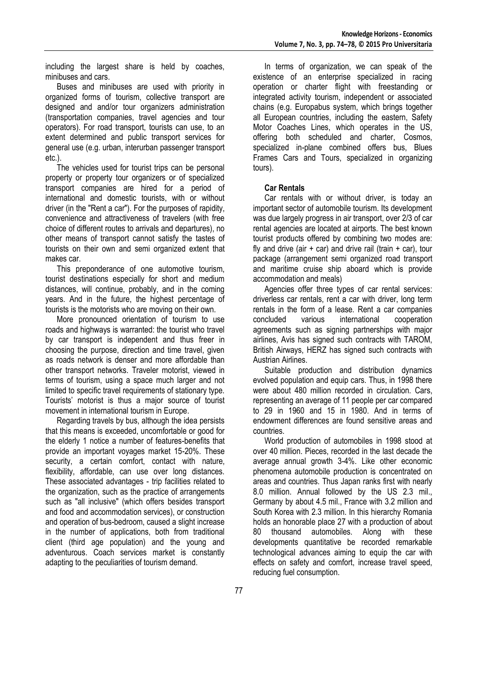including the largest share is held by coaches, minibuses and cars.

Buses and minibuses are used with priority in organized forms of tourism, collective transport are designed and and/or tour organizers administration (transportation companies, travel agencies and tour operators). For road transport, tourists can use, to an extent determined and public transport services for general use (e.g. urban, interurban passenger transport etc.).

The vehicles used for tourist trips can be personal property or property tour organizers or of specialized transport companies are hired for a period of international and domestic tourists, with or without driver (in the "Rent a car"). For the purposes of rapidity, convenience and attractiveness of travelers (with free choice of different routes to arrivals and departures), no other means of transport cannot satisfy the tastes of tourists on their own and semi organized extent that makes car.

This preponderance of one automotive tourism, tourist destinations especially for short and medium distances, will continue, probably, and in the coming years. And in the future, the highest percentage of tourists is the motorists who are moving on their own.

More pronounced orientation of tourism to use roads and highways is warranted: the tourist who travel by car transport is independent and thus freer in choosing the purpose, direction and time travel, given as roads network is denser and more affordable than other transport networks. Traveler motorist, viewed in terms of tourism, using a space much larger and not limited to specific travel requirements of stationary type. Tourists' motorist is thus a major source of tourist movement in international tourism in Europe.

Regarding travels by bus, although the idea persists that this means is exceeded, uncomfortable or good for the elderly 1 notice a number of features-benefits that provide an important voyages market 15-20%. These security, a certain comfort, contact with nature, flexibility, affordable, can use over long distances. These associated advantages - trip facilities related to the organization, such as the practice of arrangements such as "all inclusive" (which offers besides transport and food and accommodation services), or construction and operation of bus-bedroom, caused a slight increase in the number of applications, both from traditional client (third age population) and the young and adventurous. Coach services market is constantly adapting to the peculiarities of tourism demand.

In terms of organization, we can speak of the existence of an enterprise specialized in racing operation or charter flight with freestanding or integrated activity tourism, independent or associated chains (e.g. Europabus system, which brings together all European countries, including the eastern, Safety Motor Coaches Lines, which operates in the US, offering both scheduled and charter, Cosmos, specialized in-plane combined offers bus, Blues Frames Cars and Tours, specialized in organizing tours).

### **Car Rentals**

Car rentals with or without driver, is today an important sector of automobile tourism. Its development was due largely progress in air transport, over 2/3 of car rental agencies are located at airports. The best known tourist products offered by combining two modes are: fly and drive (air  $+$  car) and drive rail (train  $+$  car), tour package (arrangement semi organized road transport and maritime cruise ship aboard which is provide accommodation and meals)

Agencies offer three types of car rental services: driverless car rentals, rent a car with driver, long term rentals in the form of a lease. Rent a car companies concluded various international cooperation agreements such as signing partnerships with major airlines, Avis has signed such contracts with TAROM, British Airways, HERZ has signed such contracts with Austrian Airlines.

Suitable production and distribution dynamics evolved population and equip cars. Thus, in 1998 there were about 480 million recorded in circulation. Cars, representing an average of 11 people per car compared to 29 in 1960 and 15 in 1980. And in terms of endowment differences are found sensitive areas and countries.

World production of automobiles in 1998 stood at over 40 million. Pieces, recorded in the last decade the average annual growth 3-4%. Like other economic phenomena automobile production is concentrated on areas and countries. Thus Japan ranks first with nearly 8.0 million. Annual followed by the US 2.3 mil., Germany by about 4.5 mil., France with 3.2 million and South Korea with 2.3 million. In this hierarchy Romania holds an honorable place 27 with a production of about 80 thousand automobiles. Along with these developments quantitative be recorded remarkable technological advances aiming to equip the car with effects on safety and comfort, increase travel speed, reducing fuel consumption.